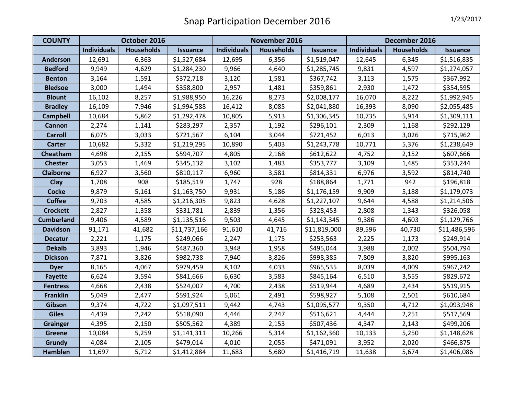| <b>COUNTY</b>     | October 2016       |                   |                 | November 2016      |                   |                 | December 2016      |                   |                 |
|-------------------|--------------------|-------------------|-----------------|--------------------|-------------------|-----------------|--------------------|-------------------|-----------------|
|                   | <b>Individuals</b> | <b>Households</b> | <b>Issuance</b> | <b>Individuals</b> | <b>Households</b> | <b>Issuance</b> | <b>Individuals</b> | <b>Households</b> | <b>Issuance</b> |
| <b>Anderson</b>   | 12,691             | 6,363             | \$1,527,684     | 12,695             | 6,356             | \$1,519,047     | 12,645             | 6,345             | \$1,516,835     |
| <b>Bedford</b>    | 9,949              | 4,629             | \$1,284,230     | 9,966              | 4,640             | \$1,285,745     | 9,831              | 4,597             | \$1,274,057     |
| <b>Benton</b>     | 3,164              | 1,591             | \$372,718       | 3,120              | 1,581             | \$367,742       | 3,113              | 1,575             | \$367,992       |
| <b>Bledsoe</b>    | 3,000              | 1,494             | \$358,800       | 2,957              | 1,481             | \$359,861       | 2,930              | 1,472             | \$354,595       |
| <b>Blount</b>     | 16,102             | 8,257             | \$1,988,950     | 16,226             | 8,273             | \$2,008,177     | 16,070             | 8,222             | \$1,992,945     |
| <b>Bradley</b>    | 16,109             | 7,946             | \$1,994,588     | 16,412             | 8,085             | \$2,041,880     | 16,393             | 8,090             | \$2,055,485     |
| <b>Campbell</b>   | 10,684             | 5,862             | \$1,292,478     | 10,805             | 5,913             | \$1,306,345     | 10,735             | 5,914             | \$1,309,111     |
| <b>Cannon</b>     | 2,274              | 1,141             | \$283,297       | 2,357              | 1,192             | \$296,101       | 2,309              | 1,168             | \$292,129       |
| <b>Carroll</b>    | 6,075              | 3,033             | \$721,567       | 6,104              | 3,044             | \$721,452       | 6,013              | 3,026             | \$715,962       |
| <b>Carter</b>     | 10,682             | 5,332             | \$1,219,295     | 10,890             | 5,403             | \$1,243,778     | 10,771             | 5,376             | \$1,238,649     |
| Cheatham          | 4,698              | 2,155             | \$594,707       | 4,805              | 2,168             | \$612,622       | 4,752              | 2,152             | \$607,666       |
| <b>Chester</b>    | 3,053              | 1,469             | \$345,132       | 3,102              | 1,483             | \$353,777       | 3,109              | 1,485             | \$353,244       |
| <b>Claiborne</b>  | 6,927              | 3,560             | \$810,117       | 6,960              | 3,581             | \$814,331       | 6,976              | 3,592             | \$814,740       |
| Clay              | 1,708              | 908               | \$185,519       | 1,747              | 928               | \$188,864       | 1,771              | 942               | \$196,818       |
| <b>Cocke</b>      | 9,879              | 5,161             | \$1,163,750     | 9,931              | 5,186             | \$1,176,159     | 9,909              | 5,188             | \$1,179,073     |
| <b>Coffee</b>     | 9,703              | 4,585             | \$1,216,305     | 9,823              | 4,628             | \$1,227,107     | 9,644              | 4,588             | \$1,214,506     |
| <b>Crockett</b>   | 2,827              | 1,358             | \$331,781       | 2,839              | 1,356             | \$328,453       | 2,808              | 1,343             | \$326,058       |
| <b>Cumberland</b> | 9,406              | 4,589             | \$1,135,516     | 9,503              | 4,645             | \$1,143,345     | 9,386              | 4,603             | \$1,129,766     |
| <b>Davidson</b>   | 91,171             | 41,682            | \$11,737,166    | 91,610             | 41,716            | \$11,819,000    | 89,596             | 40,730            | \$11,486,596    |
| <b>Decatur</b>    | 2,221              | 1,175             | \$249,066       | 2,247              | 1,175             | \$253,563       | 2,225              | 1,173             | \$249,914       |
| <b>Dekalb</b>     | 3,893              | 1,946             | \$487,360       | 3,948              | 1,958             | \$495,044       | 3,988              | 2,002             | \$504,794       |
| <b>Dickson</b>    | 7,871              | 3,826             | \$982,738       | 7,940              | 3,826             | \$998,385       | 7,809              | 3,820             | \$995,163       |
| <b>Dyer</b>       | 8,165              | 4,067             | \$979,459       | 8,102              | 4,033             | \$965,535       | 8,039              | 4,009             | \$967,242       |
| <b>Fayette</b>    | 6,624              | 3,594             | \$841,666       | 6,630              | 3,583             | \$845,164       | 6,510              | 3,555             | \$829,672       |
| <b>Fentress</b>   | 4,668              | 2,438             | \$524,007       | 4,700              | 2,438             | \$519,944       | 4,689              | 2,434             | \$519,915       |
| <b>Franklin</b>   | 5,049              | 2,477             | \$591,924       | 5,061              | 2,491             | \$598,927       | 5,108              | 2,501             | \$610,684       |
| Gibson            | 9,374              | 4,722             | \$1,097,511     | 9,442              | 4,743             | \$1,095,577     | 9,350              | 4,712             | \$1,093,948     |
| <b>Giles</b>      | 4,439              | 2,242             | \$518,090       | 4,446              | 2,247             | \$516,621       | 4,444              | 2,251             | \$517,569       |
| <b>Grainger</b>   | 4,395              | 2,150             | \$505,562       | 4,389              | 2,153             | \$507,436       | 4,347              | 2,143             | \$499,206       |
| <b>Greene</b>     | 10,084             | 5,259             | \$1,141,311     | 10,266             | 5,314             | \$1,162,360     | 10,133             | 5,250             | \$1,148,628     |
| Grundy            | 4,084              | 2,105             | \$479,014       | 4,010              | 2,055             | \$471,091       | 3,952              | 2,020             | \$466,875       |
| <b>Hamblen</b>    | 11,697             | 5,712             | \$1,412,884     | 11,683             | 5,680             | \$1,416,719     | 11,638             | 5,674             | \$1,406,086     |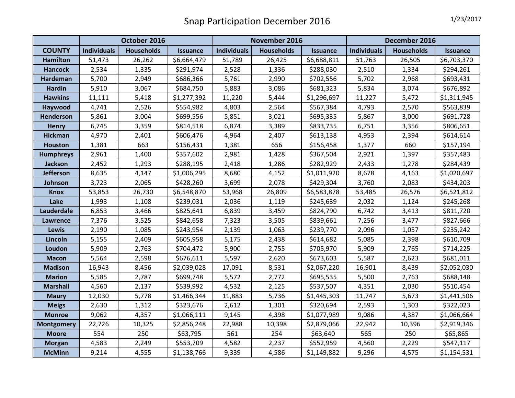|                   | October 2016       |                   |                 | November 2016      |                   |                 | December 2016      |                   |                 |
|-------------------|--------------------|-------------------|-----------------|--------------------|-------------------|-----------------|--------------------|-------------------|-----------------|
| <b>COUNTY</b>     | <b>Individuals</b> | <b>Households</b> | <b>Issuance</b> | <b>Individuals</b> | <b>Households</b> | <b>Issuance</b> | <b>Individuals</b> | <b>Households</b> | <b>Issuance</b> |
| <b>Hamilton</b>   | 51,473             | 26,262            | \$6,664,479     | 51,789             | 26,425            | \$6,688,811     | 51,763             | 26,505            | \$6,703,370     |
| <b>Hancock</b>    | 2,534              | 1,335             | \$291,974       | 2,528              | 1,336             | \$288,030       | 2,510              | 1,334             | \$294,261       |
| <b>Hardeman</b>   | 5,700              | 2,949             | \$686,366       | 5,761              | 2,990             | \$702,556       | 5,702              | 2,968             | \$693,431       |
| <b>Hardin</b>     | 5,910              | 3,067             | \$684,750       | 5,883              | 3,086             | \$681,323       | 5,834              | 3,074             | \$676,892       |
| <b>Hawkins</b>    | 11,111             | 5,418             | \$1,277,392     | 11,220             | 5,444             | \$1,296,697     | 11,227             | 5,472             | \$1,311,945     |
| Haywood           | 4,741              | 2,526             | \$554,982       | 4,803              | 2,564             | \$567,384       | 4,793              | 2,570             | \$563,839       |
| <b>Henderson</b>  | 5,861              | 3,004             | \$699,556       | 5,851              | 3,021             | \$695,335       | 5,867              | 3,000             | \$691,728       |
| <b>Henry</b>      | 6,745              | 3,359             | \$814,518       | 6,874              | 3,389             | \$833,735       | 6,751              | 3,356             | \$806,651       |
| <b>Hickman</b>    | 4,970              | 2,401             | \$606,476       | 4,964              | 2,407             | \$613,138       | 4,953              | 2,394             | \$614,614       |
| <b>Houston</b>    | 1,381              | 663               | \$156,431       | 1,381              | 656               | \$156,458       | 1,377              | 660               | \$157,194       |
| <b>Humphreys</b>  | 2,961              | 1,400             | \$357,602       | 2,981              | 1,428             | \$367,504       | 2,921              | 1,397             | \$357,483       |
| Jackson           | 2,452              | 1,293             | \$288,195       | 2,418              | 1,286             | \$282,929       | 2,433              | 1,278             | \$284,439       |
| <b>Jefferson</b>  | 8,635              | 4,147             | \$1,006,295     | 8,680              | 4,152             | \$1,011,920     | 8,678              | 4,163             | \$1,020,697     |
| Johnson           | 3,723              | 2,065             | \$428,260       | 3,699              | 2,078             | \$429,304       | 3,760              | 2,083             | \$434,203       |
| <b>Knox</b>       | 53,853             | 26,730            | \$6,548,870     | 53,968             | 26,809            | \$6,583,878     | 53,485             | 26,576            | \$6,521,812     |
| Lake              | 1,993              | 1,108             | \$239,031       | 2,036              | 1,119             | \$245,639       | 2,032              | 1,124             | \$245,268       |
| Lauderdale        | 6,853              | 3,466             | \$825,641       | 6,839              | 3,459             | \$824,790       | 6,742              | 3,413             | \$811,720       |
| Lawrence          | 7,376              | 3,525             | \$842,658       | 7,323              | 3,505             | \$839,661       | 7,256              | 3,477             | \$827,666       |
| <b>Lewis</b>      | 2,190              | 1,085             | \$243,954       | 2,139              | 1,063             | \$239,770       | 2,096              | 1,057             | \$235,242       |
| Lincoln           | 5,155              | 2,409             | \$605,958       | 5,175              | 2,438             | \$614,682       | 5,085              | 2,398             | \$610,709       |
| Loudon            | 5,909              | 2,763             | \$704,472       | 5,900              | 2,755             | \$705,970       | 5,909              | 2,765             | \$714,225       |
| <b>Macon</b>      | 5,564              | 2,598             | \$676,611       | 5,597              | 2,620             | \$673,603       | 5,587              | 2,623             | \$681,011       |
| <b>Madison</b>    | 16,943             | 8,456             | \$2,039,028     | 17,091             | 8,531             | \$2,067,220     | 16,901             | 8,439             | \$2,052,030     |
| <b>Marion</b>     | 5,585              | 2,787             | \$699,748       | 5,572              | 2,772             | \$695,535       | 5,500              | 2,763             | \$688,148       |
| <b>Marshall</b>   | 4,560              | 2,137             | \$539,992       | 4,532              | 2,125             | \$537,507       | 4,351              | 2,030             | \$510,454       |
| <b>Maury</b>      | 12,030             | 5,778             | \$1,466,344     | 11,883             | 5,736             | \$1,445,303     | 11,747             | 5,673             | \$1,441,506     |
| <b>Meigs</b>      | 2,630              | 1,312             | \$323,676       | 2,612              | 1,301             | \$320,694       | 2,593              | 1,303             | \$322,023       |
| <b>Monroe</b>     | 9,062              | 4,357             | \$1,066,111     | 9,145              | 4,398             | \$1,077,989     | 9,086              | 4,387             | \$1,066,664     |
| <b>Montgomery</b> | 22,726             | 10,325            | \$2,856,248     | 22,988             | 10,398            | \$2,879,066     | 22,942             | 10,396            | \$2,919,346     |
| <b>Moore</b>      | 554                | 250               | \$63,795        | 561                | 254               | \$63,640        | 565                | 250               | \$65,865        |
| <b>Morgan</b>     | 4,583              | 2,249             | \$553,709       | 4,582              | 2,237             | \$552,959       | 4,560              | 2,229             | \$547,117       |
| <b>McMinn</b>     | 9,214              | 4,555             | \$1,138,766     | 9,339              | 4,586             | \$1,149,882     | 9,296              | 4,575             | \$1,154,531     |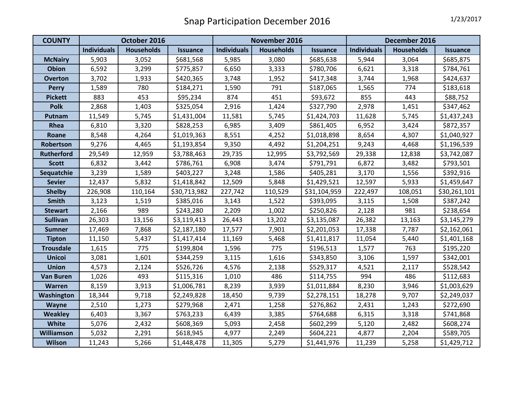| <b>COUNTY</b>     | October 2016       |                   |                 | November 2016      |                   |                 | December 2016      |                   |                 |
|-------------------|--------------------|-------------------|-----------------|--------------------|-------------------|-----------------|--------------------|-------------------|-----------------|
|                   | <b>Individuals</b> | <b>Households</b> | <b>Issuance</b> | <b>Individuals</b> | <b>Households</b> | <b>Issuance</b> | <b>Individuals</b> | <b>Households</b> | <b>Issuance</b> |
| <b>McNairy</b>    | 5,903              | 3,052             | \$681,568       | 5,985              | 3,080             | \$685,638       | 5,944              | 3,064             | \$685,875       |
| <b>Obion</b>      | 6,592              | 3,299             | \$775,857       | 6,650              | 3,333             | \$780,706       | 6,621              | 3,318             | \$784,761       |
| <b>Overton</b>    | 3,702              | 1,933             | \$420,365       | 3,748              | 1,952             | \$417,348       | 3,744              | 1,968             | \$424,637       |
| <b>Perry</b>      | 1,589              | 780               | \$184,271       | 1,590              | 791               | \$187,065       | 1,565              | 774               | \$183,618       |
| <b>Pickett</b>    | 883                | 453               | \$95,234        | 874                | 451               | \$93,672        | 855                | 443               | \$88,752        |
| <b>Polk</b>       | 2,868              | 1,403             | \$325,054       | 2,916              | 1,424             | \$327,790       | 2,978              | 1,451             | \$347,462       |
| <b>Putnam</b>     | 11,549             | 5,745             | \$1,431,004     | 11,581             | 5,745             | \$1,424,703     | 11,628             | 5,745             | \$1,437,243     |
| Rhea              | 6,810              | 3,320             | \$828,253       | 6,985              | 3,409             | \$861,405       | 6,952              | 3,424             | \$872,357       |
| Roane             | 8,548              | 4,264             | \$1,019,363     | 8,551              | 4,252             | \$1,018,898     | 8,654              | 4,307             | \$1,040,927     |
| Robertson         | 9,276              | 4,465             | \$1,193,854     | 9,350              | 4,492             | \$1,204,251     | 9,243              | 4,468             | \$1,196,539     |
| <b>Rutherford</b> | 29,549             | 12,959            | \$3,788,463     | 29,735             | 12,995            | \$3,792,569     | 29,338             | 12,838            | \$3,742,087     |
| <b>Scott</b>      | 6,832              | 3,442             | \$786,761       | 6,908              | 3,474             | \$791,791       | 6,872              | 3,482             | \$793,501       |
| Sequatchie        | 3,239              | 1,589             | \$403,227       | 3,248              | 1,586             | \$405,281       | 3,170              | 1,556             | \$392,916       |
| <b>Sevier</b>     | 12,437             | 5,832             | \$1,418,842     | 12,509             | 5,848             | \$1,429,521     | 12,597             | 5,933             | \$1,459,647     |
| <b>Shelby</b>     | 226,908            | 110,164           | \$30,713,982    | 227,742            | 110,529           | \$31,104,959    | 222,497            | 108,051           | \$30,261,101    |
| <b>Smith</b>      | 3,123              | 1,519             | \$385,016       | 3,143              | 1,522             | \$393,095       | 3,115              | 1,508             | \$387,242       |
| <b>Stewart</b>    | 2,166              | 989               | \$243,280       | 2,209              | 1,002             | \$250,826       | 2,128              | 981               | \$238,654       |
| <b>Sullivan</b>   | 26,303             | 13,156            | \$3,119,413     | 26,443             | 13,202            | \$3,135,087     | 26,382             | 13,163            | \$3,145,279     |
| <b>Sumner</b>     | 17,469             | 7,868             | \$2,187,180     | 17,577             | 7,901             | \$2,201,053     | 17,338             | 7,787             | \$2,162,061     |
| <b>Tipton</b>     | 11,150             | 5,437             | \$1,417,414     | 11,169             | 5,468             | \$1,411,817     | 11,054             | 5,440             | \$1,401,168     |
| <b>Trousdale</b>  | 1,615              | 775               | \$199,804       | 1,596              | 775               | \$196,513       | 1,577              | 763               | \$195,220       |
| <b>Unicoi</b>     | 3,081              | 1,601             | \$344,259       | 3,115              | 1,616             | \$343,850       | 3,106              | 1,597             | \$342,001       |
| <b>Union</b>      | 4,573              | 2,124             | \$526,726       | 4,576              | 2,138             | \$529,317       | 4,521              | 2,117             | \$528,542       |
| <b>Van Buren</b>  | 1,026              | 493               | \$115,316       | 1,010              | 486               | \$114,755       | 994                | 486               | \$112,683       |
| Warren            | 8,159              | 3,913             | \$1,006,781     | 8,239              | 3,939             | \$1,011,884     | 8,230              | 3,946             | \$1,003,629     |
| <b>Washington</b> | 18,344             | 9,718             | \$2,249,828     | 18,450             | 9,739             | \$2,278,151     | 18,278             | 9,707             | \$2,249,037     |
| Wayne             | 2,510              | 1,273             | \$279,968       | 2,471              | 1,258             | \$276,862       | 2,431              | 1,243             | \$272,690       |
| <b>Weakley</b>    | 6,403              | 3,367             | \$763,233       | 6,439              | 3,385             | \$764,688       | 6,315              | 3,318             | \$741,868       |
| <b>White</b>      | 5,076              | 2,432             | \$608,369       | 5,093              | 2,458             | \$602,299       | 5,120              | 2,482             | \$608,274       |
| Williamson        | 5,032              | 2,291             | \$618,945       | 4,977              | 2,249             | \$604,221       | 4,877              | 2,204             | \$589,705       |
| <b>Wilson</b>     | 11,243             | 5,266             | \$1,448,478     | 11,305             | 5,279             | \$1,441,976     | 11,239             | 5,258             | \$1,429,712     |